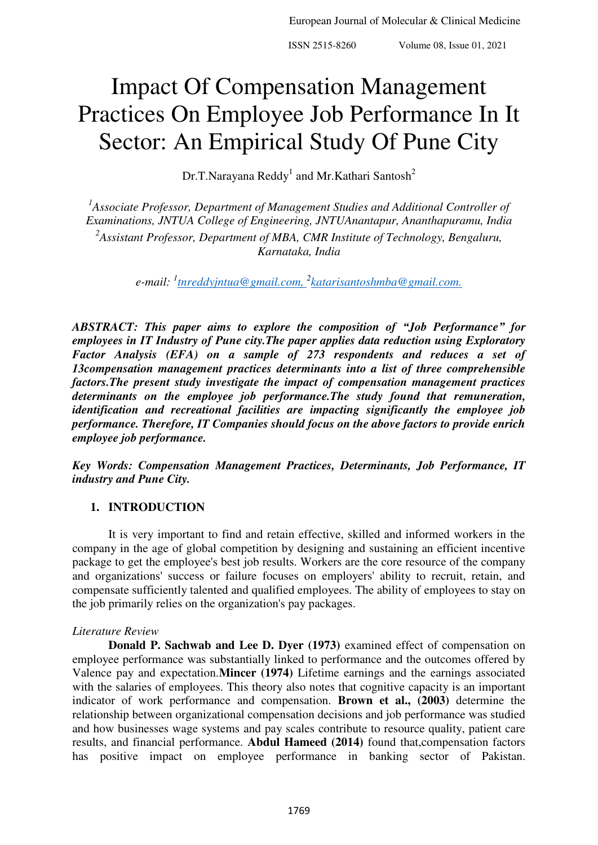# Impact Of Compensation Management Practices On Employee Job Performance In It Sector: An Empirical Study Of Pune City

Dr.T.Narayana Reddy<sup>1</sup> and Mr.Kathari Santosh<sup>2</sup>

<sup>1</sup> Associate Professor, Department of Management Studies and Additional Controller of *Examinations, JNTUA College of Engineering, JNTUAnantapur, Ananthapuramu, India 2 Assistant Professor, Department of MBA, CMR Institute of Technology, Bengaluru, Karnataka, India* 

*e-mail: <sup>1</sup> [tnreddyjntua@gmail.com,](mailto:tnreddyjntua@gmail.com) <sup>2</sup> [katarisantoshmba@gmail.com.](mailto:katarisantoshmba@gmail.com)*

*ABSTRACT: This paper aims to explore the composition of "Job Performance" for employees in IT Industry of Pune city.The paper applies data reduction using Exploratory Factor Analysis (EFA) on a sample of 273 respondents and reduces a set of 13compensation management practices determinants into a list of three comprehensible factors.The present study investigate the impact of compensation management practices determinants on the employee job performance.The study found that remuneration, identification and recreational facilities are impacting significantly the employee job performance. Therefore, IT Companies should focus on the above factors to provide enrich employee job performance.* 

*Key Words: Compensation Management Practices, Determinants, Job Performance, IT industry and Pune City.* 

# **1. INTRODUCTION**

It is very important to find and retain effective, skilled and informed workers in the company in the age of global competition by designing and sustaining an efficient incentive package to get the employee's best job results. Workers are the core resource of the company and organizations' success or failure focuses on employers' ability to recruit, retain, and compensate sufficiently talented and qualified employees. The ability of employees to stay on the job primarily relies on the organization's pay packages.

# *Literature Review*

**Donald P. Sachwab and Lee D. Dyer (1973)** examined effect of compensation on employee performance was substantially linked to performance and the outcomes offered by Valence pay and expectation.**Mincer (1974)** Lifetime earnings and the earnings associated with the salaries of employees. This theory also notes that cognitive capacity is an important indicator of work performance and compensation. **Brown et al., (2003)** determine the relationship between organizational compensation decisions and job performance was studied and how businesses wage systems and pay scales contribute to resource quality, patient care results, and financial performance. **Abdul Hameed (2014)** found that,compensation factors has positive impact on employee performance in banking sector of Pakistan.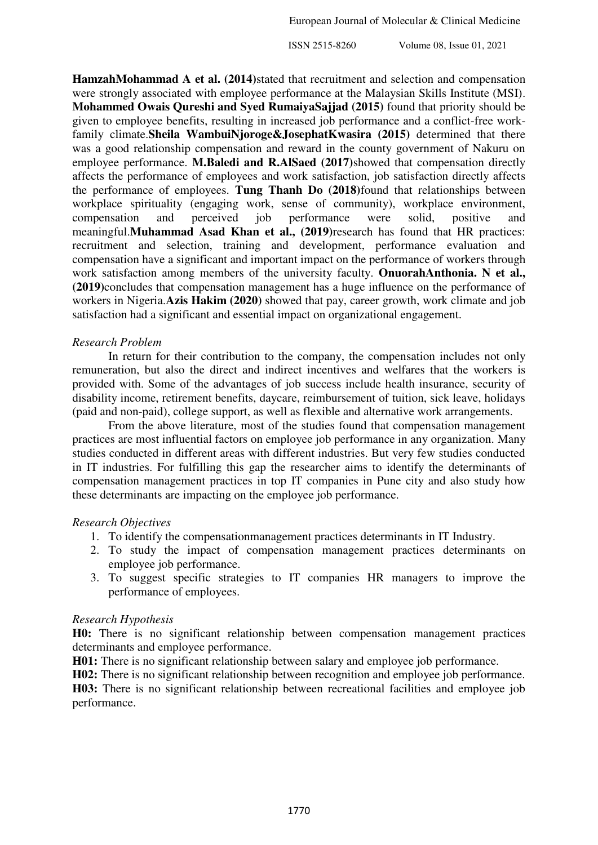**HamzahMohammad A et al. (2014)**stated that recruitment and selection and compensation were strongly associated with employee performance at the Malaysian Skills Institute (MSI). **Mohammed Owais Qureshi and Syed RumaiyaSajjad (2015)** found that priority should be given to employee benefits, resulting in increased job performance and a conflict-free workfamily climate.**Sheila WambuiNjoroge&JosephatKwasira (2015)** determined that there was a good relationship compensation and reward in the county government of Nakuru on employee performance. **M.Baledi and R.AlSaed (2017)**showed that compensation directly affects the performance of employees and work satisfaction, job satisfaction directly affects the performance of employees. **Tung Thanh Do (2018)**found that relationships between workplace spirituality (engaging work, sense of community), workplace environment, compensation and perceived job performance were solid, positive and meaningful.**[Muhammad Asad Khan](https://papers.ssrn.com/sol3/cf_dev/AbsByAuth.cfm?per_id=1280166) et al., (2019)**research has found that HR practices: recruitment and selection, training and development, performance evaluation and compensation have a significant and important impact on the performance of workers through work satisfaction among members of the university faculty. **OnuorahAnthonia. N et al., (2019)**concludes that compensation management has a huge influence on the performance of workers in Nigeria.**Azis Hakim (2020)** showed that pay, career growth, work climate and job satisfaction had a significant and essential impact on organizational engagement.

#### *Research Problem*

In return for their contribution to the company, the compensation includes not only remuneration, but also the direct and indirect incentives and welfares that the workers is provided with. Some of the advantages of job success include health insurance, security of disability income, retirement benefits, daycare, reimbursement of tuition, sick leave, holidays (paid and non-paid), college support, as well as flexible and alternative work arrangements.

From the above literature, most of the studies found that compensation management practices are most influential factors on employee job performance in any organization. Many studies conducted in different areas with different industries. But very few studies conducted in IT industries. For fulfilling this gap the researcher aims to identify the determinants of compensation management practices in top IT companies in Pune city and also study how these determinants are impacting on the employee job performance.

#### *Research Objectives*

- 1. To identify the compensationmanagement practices determinants in IT Industry.
- 2. To study the impact of compensation management practices determinants on employee job performance.
- 3. To suggest specific strategies to IT companies HR managers to improve the performance of employees.

## *Research Hypothesis*

**H0:** There is no significant relationship between compensation management practices determinants and employee performance.

**H01:** There is no significant relationship between salary and employee job performance.

**H02:** There is no significant relationship between recognition and employee job performance.

**H03:** There is no significant relationship between recreational facilities and employee job performance.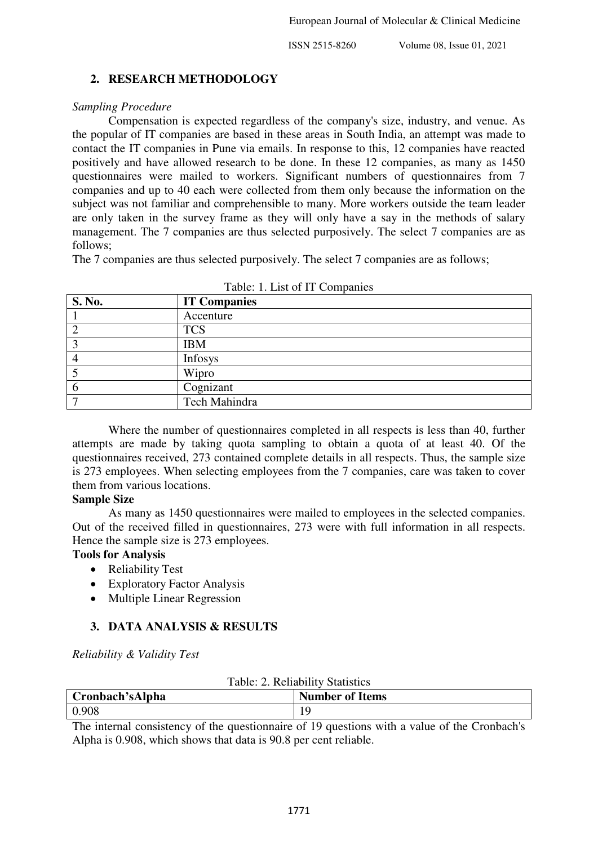## **2. RESEARCH METHODOLOGY**

#### *Sampling Procedure*

Compensation is expected regardless of the company's size, industry, and venue. As the popular of IT companies are based in these areas in South India, an attempt was made to contact the IT companies in Pune via emails. In response to this, 12 companies have reacted positively and have allowed research to be done. In these 12 companies, as many as 1450 questionnaires were mailed to workers. Significant numbers of questionnaires from 7 companies and up to 40 each were collected from them only because the information on the subject was not familiar and comprehensible to many. More workers outside the team leader are only taken in the survey frame as they will only have a say in the methods of salary management. The 7 companies are thus selected purposively. The select 7 companies are as follows;

The 7 companies are thus selected purposively. The select 7 companies are as follows;

| S. No. | <b>IT Companies</b> |
|--------|---------------------|
|        | Accenture           |
|        | <b>TCS</b>          |
|        | <b>IBM</b>          |
|        | Infosys             |
|        | Wipro               |
|        | Cognizant           |
|        | Tech Mahindra       |

Table: 1. List of IT Companies

Where the number of questionnaires completed in all respects is less than 40, further attempts are made by taking quota sampling to obtain a quota of at least 40. Of the questionnaires received, 273 contained complete details in all respects. Thus, the sample size is 273 employees. When selecting employees from the 7 companies, care was taken to cover them from various locations.

## **Sample Size**

As many as 1450 questionnaires were mailed to employees in the selected companies. Out of the received filled in questionnaires, 273 were with full information in all respects. Hence the sample size is 273 employees.

# **Tools for Analysis**

- Reliability Test
- Exploratory Factor Analysis
- Multiple Linear Regression

# **3. DATA ANALYSIS & RESULTS**

*Reliability & Validity Test* 

| Table: 2. Reliability Statistics |                        |  |  |
|----------------------------------|------------------------|--|--|
| Cronbach'sAlpha                  | <b>Number of Items</b> |  |  |
| 0.908                            |                        |  |  |

The internal consistency of the questionnaire of 19 questions with a value of the Cronbach's Alpha is 0.908, which shows that data is 90.8 per cent reliable.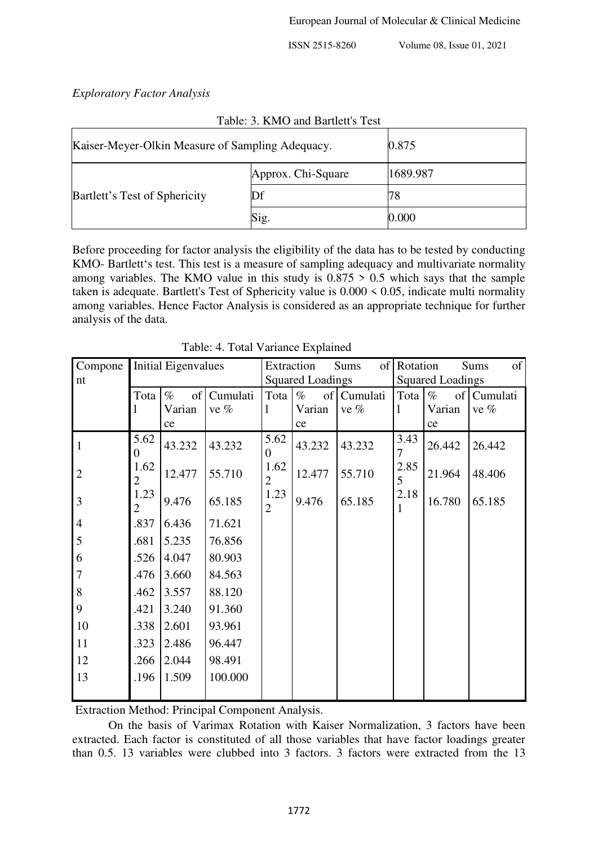*Exploratory Factor Analysis* 

| Kaiser-Meyer-Olkin Measure of Sampling Adequacy. | 0.875              |          |
|--------------------------------------------------|--------------------|----------|
|                                                  | Approx. Chi-Square | 1689.987 |
| Bartlett's Test of Sphericity                    | Df                 | 78       |
|                                                  | Sig.               | 0.000    |

Table: 3. KMO and Bartlett's Test

Before proceeding for factor analysis the eligibility of the data has to be tested by conducting KMO- Bartlett's test. This test is a measure of sampling adequacy and multivariate normality among variables. The KMO value in this study is  $0.875 > 0.5$  which says that the sample taken is adequate. Bartlett's Test of Sphericity value is 0.000 < 0.05, indicate multi normality among variables. Hence Factor Analysis is considered as an appropriate technique for further analysis of the data.

| Compone        | <b>Initial Eigenvalues</b> |            | Extraction              |                        | Sums       | of Rotation             |             | of<br><b>Sums</b> |          |
|----------------|----------------------------|------------|-------------------------|------------------------|------------|-------------------------|-------------|-------------------|----------|
| nt             |                            |            | <b>Squared Loadings</b> |                        |            | <b>Squared Loadings</b> |             |                   |          |
|                | Tota                       | $\%$<br>of | Cumulati                | Tota                   | $\%$<br>of | Cumulati                | Tota        | $\%$<br>of        | Cumulati |
|                |                            | Varian     | ve $%$                  | 1                      | Varian     | ve $%$                  | $\mathbf l$ | Varian            | ve %     |
|                |                            | ce         |                         |                        | ce         |                         |             | ce                |          |
| $\mathbf{1}$   | 5.62<br>$\theta$           | 43.232     | 43.232                  | 5.62<br>0              | 43.232     | 43.232                  | 3.43<br>7   | 26.442            | 26.442   |
| $\overline{2}$ | 1.62<br>$\overline{2}$     | 12.477     | 55.710                  | 1.62<br>$\overline{2}$ | 12.477     | 55.710                  | 2.85<br>5   | 21.964            | 48.406   |
| 3              | 1.23<br>$\overline{2}$     | 9.476      | 65.185                  | 1.23<br>$\overline{2}$ | 9.476      | 65.185                  | 2.18<br>1   | 16.780            | 65.185   |
| $\overline{4}$ | .837                       | 6.436      | 71.621                  |                        |            |                         |             |                   |          |
| 5              | .681                       | 5.235      | 76.856                  |                        |            |                         |             |                   |          |
| 6              | .526                       | 4.047      | 80.903                  |                        |            |                         |             |                   |          |
| $\overline{7}$ | .476                       | 3.660      | 84.563                  |                        |            |                         |             |                   |          |
| 8              | .462                       | 3.557      | 88.120                  |                        |            |                         |             |                   |          |
| 9              | .421                       | 3.240      | 91.360                  |                        |            |                         |             |                   |          |
| 10             | .338                       | 2.601      | 93.961                  |                        |            |                         |             |                   |          |
| 11             | .323                       | 2.486      | 96.447                  |                        |            |                         |             |                   |          |
| 12             | .266                       | 2.044      | 98.491                  |                        |            |                         |             |                   |          |
| 13             | .196                       | 1.509      | 100.000                 |                        |            |                         |             |                   |          |

Table: 4. Total Variance Explained

Extraction Method: Principal Component Analysis.

On the basis of Varimax Rotation with Kaiser Normalization, 3 factors have been extracted. Each factor is constituted of all those variables that have factor loadings greater than 0.5. 13 variables were clubbed into 3 factors. 3 factors were extracted from the 13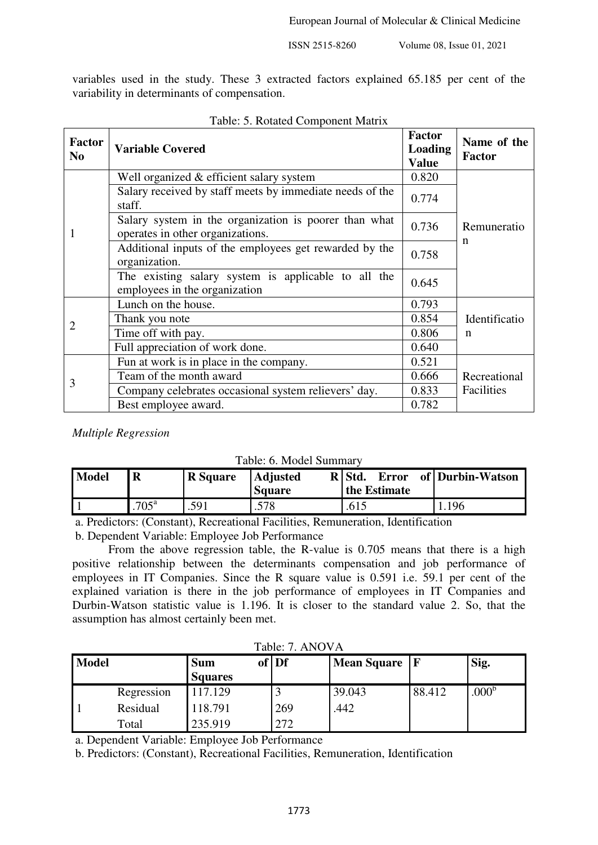variables used in the study. These 3 extracted factors explained 65.185 per cent of the variability in determinants of compensation.

| <b>Factor</b><br>N <sub>0</sub> | <b>Variable Covered</b>                                                                   | <b>Factor</b><br><b>Loading</b><br><b>Value</b> | Name of the<br><b>Factor</b> |
|---------------------------------|-------------------------------------------------------------------------------------------|-------------------------------------------------|------------------------------|
|                                 | Well organized & efficient salary system                                                  | 0.820                                           |                              |
|                                 | Salary received by staff meets by immediate needs of the<br>staff.                        | 0.774                                           |                              |
| 1                               | Salary system in the organization is poorer than what<br>operates in other organizations. |                                                 | Remuneratio<br>n             |
|                                 | Additional inputs of the employees get rewarded by the<br>organization.                   | 0.758                                           |                              |
|                                 | The existing salary system is applicable to all the<br>employees in the organization      | 0.645                                           |                              |
|                                 | Lunch on the house.                                                                       | 0.793                                           |                              |
| 2                               | Thank you note                                                                            | 0.854                                           | Identificatio                |
|                                 | Time off with pay.                                                                        |                                                 | n                            |
|                                 | Full appreciation of work done.                                                           |                                                 |                              |
| 3                               | Fun at work is in place in the company.                                                   | 0.521                                           |                              |
|                                 | Team of the month award                                                                   | 0.666                                           | Recreational                 |
|                                 | Company celebrates occasional system relievers' day.                                      | 0.833                                           | Facilities                   |
|                                 | Best employee award.                                                                      | 0.782                                           |                              |

|  | Table: 5. Rotated Component Matrix |
|--|------------------------------------|
|--|------------------------------------|

*Multiple Regression* 

|  |  |  | Table: 6. Model Summary |
|--|--|--|-------------------------|
|--|--|--|-------------------------|

| <b>Model</b> | R                 | <b>R</b> Square | <b>Adjusted</b><br><b>Square</b> | R Std.<br>Error<br>the Estimate | of   Durbin-Watson |
|--------------|-------------------|-----------------|----------------------------------|---------------------------------|--------------------|
|              | .705 <sup>a</sup> | .591            | .578                             | .615                            | .196               |

a. Predictors: (Constant), Recreational Facilities, Remuneration, Identification

b. Dependent Variable: Employee Job Performance

From the above regression table, the R-value is 0.705 means that there is a high positive relationship between the determinants compensation and job performance of employees in IT Companies. Since the R square value is 0.591 i.e. 59.1 per cent of the explained variation is there in the job performance of employees in IT Companies and Durbin-Watson statistic value is 1.196. It is closer to the standard value 2. So, that the assumption has almost certainly been met.

| Tabie: 7. AINUVA |            |                |       |                 |        |                   |
|------------------|------------|----------------|-------|-----------------|--------|-------------------|
| <b>Model</b>     |            | <b>Sum</b>     | of Df | Mean Square   F |        | Sig.              |
|                  |            | <b>Squares</b> |       |                 |        |                   |
|                  | Regression | 117.129        |       | 39.043          | 88.412 | .000 <sup>b</sup> |
|                  | Residual   | 118.791        | 269   | .442            |        |                   |
|                  | Total      | 235.919        | 272   |                 |        |                   |

Table: 7. ANOVA

a. Dependent Variable: Employee Job Performance

b. Predictors: (Constant), Recreational Facilities, Remuneration, Identification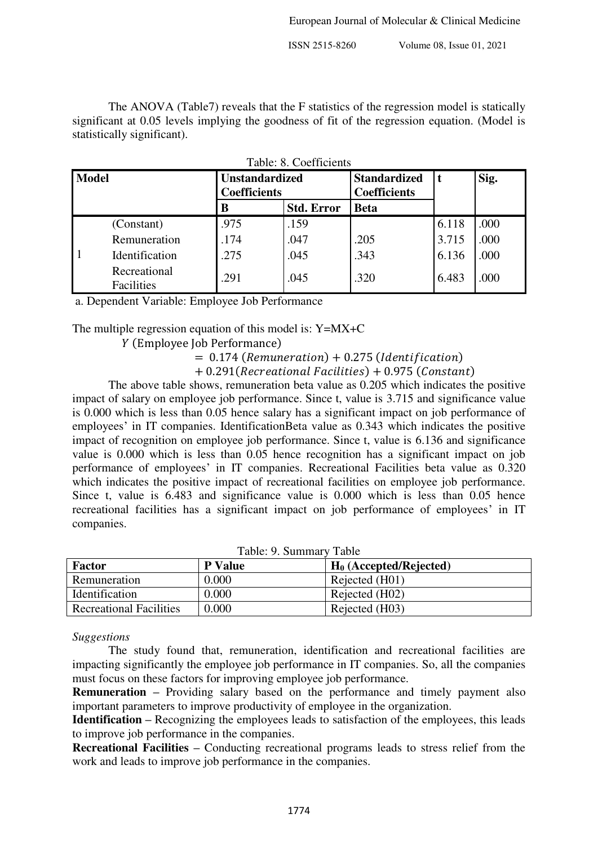The ANOVA (Table7) reveals that the F statistics of the regression model is statically significant at 0.05 levels implying the goodness of fit of the regression equation. (Model is statistically significant).

| <b>Model</b> |                            | <b>Unstandardized</b><br>Coefficients |                   | <b>Standardized</b><br><b>Coefficients</b> | t     | Sig. |
|--------------|----------------------------|---------------------------------------|-------------------|--------------------------------------------|-------|------|
|              |                            | В                                     | <b>Std. Error</b> | <b>Beta</b>                                |       |      |
|              | (Constant)                 | .975                                  | .159              |                                            | 6.118 | .000 |
|              | Remuneration               | .174                                  | .047              | .205                                       | 3.715 | .000 |
|              | Identification             | .275                                  | .045              | .343                                       | 6.136 | .000 |
|              | Recreational<br>Facilities | .291                                  | .045              | .320                                       | 6.483 | .000 |

|  | Table: 8. Coefficients |  |
|--|------------------------|--|
|--|------------------------|--|

a. Dependent Variable: Employee Job Performance

The multiple regression equation of this model is: Y=MX+C

(Employee Job Performance)

 $= 0.174$  (Remuneration)  $+ 0.275$  (Identification)

 $+ 0.291$ (Recreational Facilities)  $+ 0.975$  (Constant)

The above table shows, remuneration beta value as 0.205 which indicates the positive impact of salary on employee job performance. Since t, value is 3.715 and significance value is 0.000 which is less than 0.05 hence salary has a significant impact on job performance of employees' in IT companies. IdentificationBeta value as 0.343 which indicates the positive impact of recognition on employee job performance. Since t, value is 6.136 and significance value is 0.000 which is less than 0.05 hence recognition has a significant impact on job performance of employees' in IT companies. Recreational Facilities beta value as 0.320 which indicates the positive impact of recreational facilities on employee job performance. Since t, value is 6.483 and significance value is 0.000 which is less than 0.05 hence recreational facilities has a significant impact on job performance of employees' in IT companies.

| Table: 9. Summary Table        |                |                           |  |  |
|--------------------------------|----------------|---------------------------|--|--|
| <b>Factor</b>                  | <b>P</b> Value | $H_0$ (Accepted/Rejected) |  |  |
| Remuneration                   | 0.000          | Rejected (H01)            |  |  |
| Identification                 | 0.000          | Rejected (H02)            |  |  |
| <b>Recreational Facilities</b> | 0.000          | Rejected (H03)            |  |  |

#### *Suggestions*

The study found that, remuneration, identification and recreational facilities are impacting significantly the employee job performance in IT companies. So, all the companies must focus on these factors for improving employee job performance.

**Remuneration** – Providing salary based on the performance and timely payment also important parameters to improve productivity of employee in the organization.

**Identification –** Recognizing the employees leads to satisfaction of the employees, this leads to improve job performance in the companies.

**Recreational Facilities –** Conducting recreational programs leads to stress relief from the work and leads to improve job performance in the companies.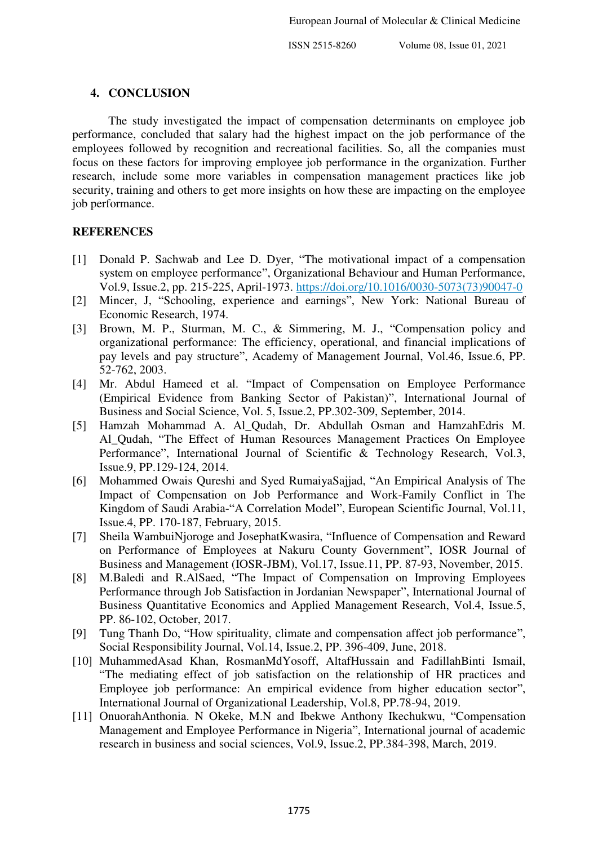## **4. CONCLUSION**

The study investigated the impact of compensation determinants on employee job performance, concluded that salary had the highest impact on the job performance of the employees followed by recognition and recreational facilities. So, all the companies must focus on these factors for improving employee job performance in the organization. Further research, include some more variables in compensation management practices like job security, training and others to get more insights on how these are impacting on the employee job performance.

## **REFERENCES**

- [1] Donald P. Sachwab and Lee D. Dyer, "The motivational impact of a compensation system on employee performance", Organizational Behaviour and Human Performance, Vol.9, Issue.2, pp. 215-225, April-1973. [https://doi.org/10.1016/0030-5073\(73\)90047-0](https://doi.org/10.1016/0030-5073(73)90047-0)
- [2] Mincer, J, "Schooling, experience and earnings", New York: National Bureau of Economic Research, 1974.
- [3] Brown, M. P., Sturman, M. C., & Simmering, M. J., "Compensation policy and organizational performance: The efficiency, operational, and financial implications of pay levels and pay structure", Academy of Management Journal, Vol.46, Issue.6, PP. 52-762, 2003.
- [4] Mr. Abdul Hameed et al. "Impact of Compensation on Employee Performance (Empirical Evidence from Banking Sector of Pakistan)", International Journal of Business and Social Science, Vol. 5, Issue.2, PP.302-309, September, 2014.
- [5] Hamzah Mohammad A. Al\_Qudah, Dr. Abdullah Osman and HamzahEdris M. Al\_Qudah, "The Effect of Human Resources Management Practices On Employee Performance", International Journal of Scientific & Technology Research, Vol.3, Issue.9, PP.129-124, 2014.
- [6] Mohammed Owais Qureshi and Syed RumaiyaSajjad, "An Empirical Analysis of The Impact of Compensation on Job Performance and Work-Family Conflict in The Kingdom of Saudi Arabia-"A Correlation Model", European Scientific Journal, Vol.11, Issue.4, PP. 170-187, February, 2015.
- [7] Sheila WambuiNjoroge and JosephatKwasira, "Influence of Compensation and Reward on Performance of Employees at Nakuru County Government", IOSR Journal of Business and Management (IOSR-JBM), Vol.17, Issue.11, PP. 87-93, November, 2015.
- [8] M.Baledi and R.AlSaed, "The Impact of Compensation on Improving Employees Performance through Job Satisfaction in Jordanian Newspaper", International Journal of Business Quantitative Economics and Applied Management Research, Vol.4, Issue.5, PP. 86-102, October, 2017.
- [9] Tung Thanh Do, "How spirituality, climate and compensation affect job performance", Social Responsibility Journal, Vol.14, Issue.2, PP. 396-409, June, 2018.
- [10] MuhammedAsad Khan, RosmanMdYosoff, AltafHussain and FadillahBinti Ismail, "The mediating effect of job satisfaction on the relationship of HR practices and Employee job performance: An empirical evidence from higher education sector", International Journal of Organizational Leadership, Vol.8, PP.78-94, 2019.
- [11] OnuorahAnthonia. N Okeke, M.N and Ibekwe Anthony Ikechukwu, "Compensation Management and Employee Performance in Nigeria", International journal of academic research in business and social sciences, Vol.9, Issue.2, PP.384-398, March, 2019.